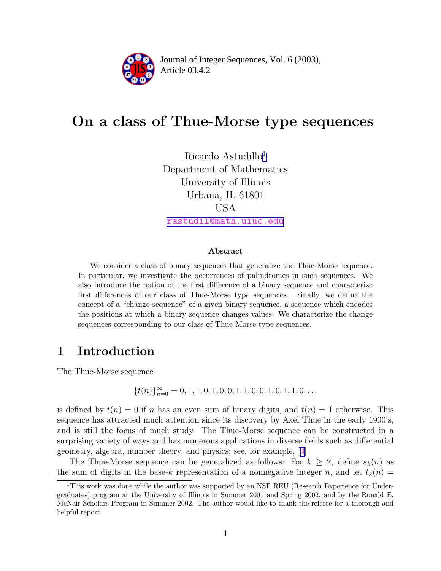

Article 03.4.2 **<sup>2</sup>** Journal of Integer Sequences, Vol. 6 (2003),

# On a class of Thue-Morse type sequences

Ricardo Astudillo<sup>1</sup> Department of Mathematics University of Illinois Urbana, IL 61801 USA [rastudil@math.uiuc.edu](mailto:rastudil@math.uiuc.edu)

Abstract

We consider a class of binary sequences that generalize the Thue-Morse sequence. In particular, we investigate the occurrences of palindromes in such sequences. We also introduce the notion of the first difference of a binary sequence and characterize first differences of our class of Thue-Morse type sequences. Finally, we define the concept of a "change sequence" of a given binary sequence, a sequence which encodes the positions at which a binary sequence changes values. We characterize the change sequences corresponding to our class of Thue-Morse type sequences.

### 1 Introduction

The Thue-Morse sequence

 ${t(n)}_{n=0}^{\infty} = 0, 1, 1, 0, 1, 0, 0, 1, 1, 0, 0, 1, 0, 1, 1, 0, \ldots$ 

is defined by  $t(n) = 0$  if n has an even sum of binary digits, and  $t(n) = 1$  otherwise. This sequence has attracted much attention since its discovery by Axel Thue in the early 1900's, and is still the focus of much study. The Thue-Morse sequence can be constructed in a surprising variety of ways and has numerous applications in diverse fields such as differential geometry, algebra, number theory, and physics; see, for example, [[3\]](#page-10-0).

The Thue-Morse sequence can be generalized as follows: For  $k \geq 2$ , define  $s_k(n)$  as the sum of digits in the base-k representation of a nonnegative integer n, and let  $t_k(n)$  =

<sup>&</sup>lt;sup>1</sup>This work was done while the author was supported by an NSF REU (Research Experience for Undergraduates) program at the University of Illinois in Summer 2001 and Spring 2002, and by the Ronald E. McNair Scholars Program in Summer 2002. The author would like to thank the referee for a thorough and helpful report.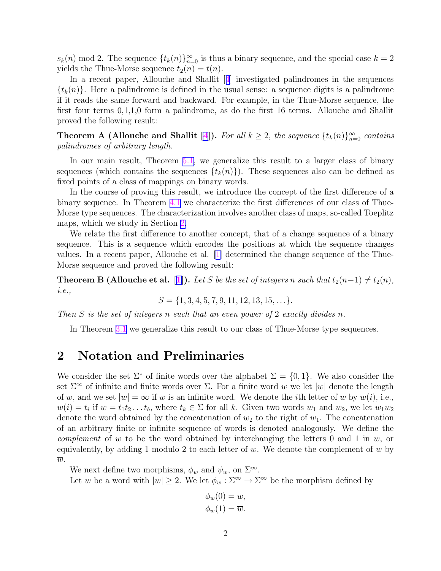<span id="page-1-0"></span> $s_k(n) \mod 2$ . The sequence  $\{t_k(n)\}_{n=0}^{\infty}$  is thus a binary sequence, and the special case  $k=2$ yields the Thue-Morse sequence  $t_2(n) = t(n)$ .

In a recent paper, Allouche and Shallit [[4](#page-10-0)] investigated palindromes in the sequences  $\{t_k(n)\}\$ . Here a palindrome is defined in the usual sense: a sequence digits is a palindrome if it reads the same forward and backward. For example, in the Thue-Morse sequence, the first four terms 0,1,1,0 form a palindrome, as do the first 16 terms. Allouche and Shallit proved the following result:

**Theorem A (Allouche and Shallit [\[4\]](#page-10-0)).** For all  $k \geq 2$ , the sequence  $\{t_k(n)\}_{n=0}^{\infty}$  contains palindromes of arbitrary length.

In our main result, Theorem [5.1,](#page-9-0) we generalize this result to a larger class of binary sequences (which contains the sequences  $\{t_k(n)\}\)$ . These sequences also can be defined as fixed points of a class of mappings on binary words.

In the course of proving this result, we introduce the concept of the first difference of a binary sequence. In Theorem [4.1](#page-5-0) we characterize the first differences of our class of Thue-Morse type sequences. The characterization involves another class of maps, so-called Toeplitz maps, which we study in Section 2.

We relate the first difference to another concept, that of a change sequence of a binary sequence. This is a sequence which encodes the positions at which the sequence changes values. In a recent paper, Allouche et al. [[1\]](#page-10-0) determined the change sequence of the Thue-Morse sequence and proved the following result:

**Theorem B (Allouche et al. [[1\]](#page-10-0)).** Let S be the set of integers n such that  $t_2(n-1) \neq t_2(n)$ , i.e.,

$$
S = \{1, 3, 4, 5, 7, 9, 11, 12, 13, 15, \ldots\}.
$$

Then S is the set of integers n such that an even power of 2 exactly divides n.

In Theorem [3.1](#page-3-0) we generalize this result to our class of Thue-Morse type sequences.

### 2 Notation and Preliminaries

We consider the set  $\Sigma^*$  of finite words over the alphabet  $\Sigma = \{0, 1\}$ . We also consider the set  $\Sigma^{\infty}$  of infinite and finite words over  $\Sigma$ . For a finite word w we let  $|w|$  denote the length of w, and we set  $|w| = \infty$  if w is an infinite word. We denote the *i*th letter of w by  $w(i)$ , i.e.,  $w(i) = t_i$  if  $w = t_1 t_2 \dots t_b$ , where  $t_k \in \Sigma$  for all k. Given two words  $w_1$  and  $w_2$ , we let  $w_1 w_2$ denote the word obtained by the concatenation of  $w_2$  to the right of  $w_1$ . The concatenation of an arbitrary finite or infinite sequence of words is denoted analogously. We define the *complement* of w to be the word obtained by interchanging the letters 0 and 1 in  $w$ , or equivalently, by adding 1 modulo 2 to each letter of w. We denote the complement of w by  $\overline{w}$ .

We next define two morphisms,  $\phi_w$  and  $\psi_w$ , on  $\Sigma^{\infty}$ .

Let w be a word with  $|w| \geq 2$ . We let  $\phi_w : \Sigma^{\infty} \to \Sigma^{\infty}$  be the morphism defined by

$$
\phi_w(0) = w,
$$
  

$$
\phi_w(1) = \overline{w}.
$$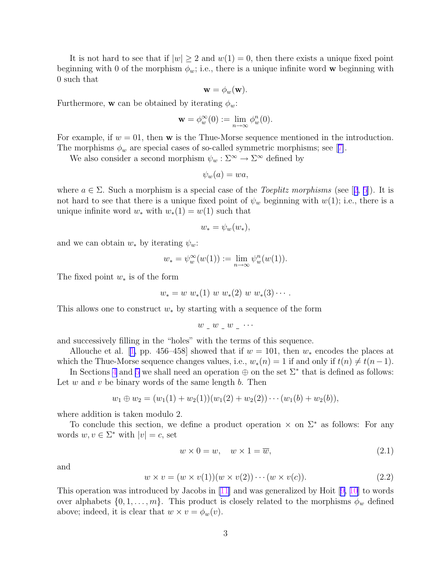It is not hard to see that if  $|w| \geq 2$  and  $w(1) = 0$ , then there exists a unique fixed point beginning with 0 of the morphism  $\phi_w$ ; i.e., there is a unique infinite word w beginning with 0 such that

$$
\mathbf{w} = \phi_w(\mathbf{w}).
$$

Furthermore, **w** can be obtained by iterating  $\phi_w$ :

$$
\mathbf{w} = \phi_w^{\infty}(0) := \lim_{n \to \infty} \phi_w^n(0).
$$

For example, if  $w = 01$ , then **w** is the Thue-Morse sequence mentioned in the introduction. The morphisms  $\phi_w$  are special cases of so-called symmetric morphisms; see [[7\]](#page-10-0).

We also consider a second morphism  $\psi_w : \Sigma^{\infty} \to \Sigma^{\infty}$  defined by

$$
\psi_w(a) = wa,
$$

where  $a \in \Sigma$ . Such a morphism is a special case of the *Toeplitz morphisms* (see [[2](#page-10-0), [5](#page-10-0)]). It is not hard to see that there is a unique fixed point of  $\psi_w$  beginning with  $w(1)$ ; i.e., there is a unique infinite word  $w_*$  with  $w_*(1) = w(1)$  such that

$$
w_* = \psi_w(w_*),
$$

and we can obtain  $w_*$  by iterating  $\psi_w$ :

$$
w_* = \psi_w^{\infty}(w(1)) := \lim_{n \to \infty} \psi_w^n(w(1)).
$$

The fixed point  $w_*$  is of the form

$$
w_* = w w_*(1) w w_*(2) w w_*(3) \cdots
$$

This allows one to construct  $w_*$  by starting with a sequence of the form

$$
w \_w \_w \_w \_ \cdots
$$

and successively filling in the "holes" with the terms of this sequence.

Allouche et al. [[1,](#page-10-0) pp. 456–458] showed that if  $w = 101$ , then  $w_*$  encodes the places at which the Thue-Morse sequence changes values, i.e.,  $w_*(n) = 1$  if and only if  $t(n) \neq t(n-1)$ .

In Sections [4](#page-4-0) and [5](#page-5-0) we shall need an operation  $\oplus$  on the set  $\Sigma^*$  that is defined as follows: Let w and v be binary words of the same length  $b$ . Then

$$
w_1 \oplus w_2 = (w_1(1) + w_2(1))(w_1(2) + w_2(2)) \cdots (w_1(b) + w_2(b)),
$$

where addition is taken modulo 2.

To conclude this section, we define a product operation  $\times$  on  $\Sigma^*$  as follows: For any words  $w, v \in \Sigma^*$  with  $|v| = c$ , set

$$
w \times 0 = w, \quad w \times 1 = \overline{w}, \tag{2.1}
$$

and

$$
w \times v = (w \times v(1))(w \times v(2)) \cdots (w \times v(c)). \tag{2.2}
$$

This operation was introduced by Jacobs in [\[11\]](#page-10-0) and was generalized by Hoit [[9,](#page-10-0) [10\]](#page-10-0) to words over alphabets  $\{0, 1, \ldots, m\}$ . This product is closely related to the morphisms  $\phi_w$  defined above; indeed, it is clear that  $w \times v = \phi_w(v)$ .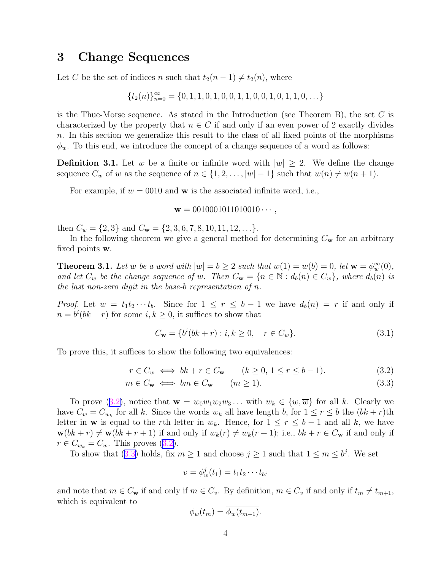### <span id="page-3-0"></span>3 Change Sequences

Let C be the set of indices n such that  $t_2(n-1) \neq t_2(n)$ , where

$$
\{t_2(n)\}_{n=0}^{\infty} = \{0, 1, 1, 0, 1, 0, 0, 1, 1, 0, 0, 1, 0, 1, 1, 0, \ldots\}
$$

is the Thue-Morse sequence. As stated in the Introduction (see Theorem B), the set  $C$  is characterized by the property that  $n \in C$  if and only if an even power of 2 exactly divides n. In this section we generalize this result to the class of all fixed points of the morphisms  $\phi_w$ . To this end, we introduce the concept of a change sequence of a word as follows:

**Definition 3.1.** Let w be a finite or infinite word with  $|w| \geq 2$ . We define the change sequence  $C_w$  of w as the sequence of  $n \in \{1, 2, \ldots, |w|-1\}$  such that  $w(n) \neq w(n+1)$ .

For example, if  $w = 0010$  and **w** is the associated infinite word, i.e.,

#### $\mathbf{w} = 0010001011010010 \cdots$

then  $C_w = \{2, 3\}$  and  $C_w = \{2, 3, 6, 7, 8, 10, 11, 12, \ldots\}.$ 

In the following theorem we give a general method for determining  $C_{\mathbf{w}}$  for an arbitrary fixed points w.

**Theorem 3.1.** Let w be a word with  $|w| = b \ge 2$  such that  $w(1) = w(b) = 0$ , let  $\mathbf{w} = \phi_w^{\infty}(0)$ , and let  $C_w$  be the change sequence of w. Then  $C_w = \{n \in \mathbb{N} : d_b(n) \in C_w\}$ , where  $d_b(n)$  is the last non-zero digit in the base-b representation of n.

*Proof.* Let  $w = t_1t_2\cdots t_b$ . Since for  $1 \leq r \leq b-1$  we have  $d_b(n) = r$  if and only if  $n = b^{i}(bk + r)$  for some  $i, k \geq 0$ , it suffices to show that

$$
C_{\mathbf{w}} = \{b^i(bk + r) : i, k \ge 0, \quad r \in C_w\}.
$$
\n(3.1)

To prove this, it suffices to show the following two equivalences:

$$
r \in C_w \iff bk + r \in C_w \qquad (k \ge 0, \ 1 \le r \le b - 1). \tag{3.2}
$$

$$
m \in C_{\mathbf{w}} \iff bm \in C_{\mathbf{w}} \qquad (m \ge 1). \tag{3.3}
$$

To prove (3.2), notice that  $\mathbf{w} = w_0w_1w_2w_3...$  with  $w_k \in \{w, \overline{w}\}\)$  for all k. Clearly we have  $C_w = C_{w_k}$  for all k. Since the words  $w_k$  all have length b, for  $1 \le r \le b$  the  $(bk + r)$ th letter in w is equal to the rth letter in  $w_k$ . Hence, for  $1 \leq r \leq b-1$  and all k, we have  $\mathbf{w}(bk + r) \neq \mathbf{w}(bk + r + 1)$  if and only if  $w_k(r) \neq w_k(r + 1)$ ; i.e.,  $bk + r \in C_\mathbf{w}$  if and only if  $r \in C_{w_k} = C_w$ . This proves (3.2).

To show that (3.3) holds, fix  $m \ge 1$  and choose  $j \ge 1$  such that  $1 \le m \le b^j$ . We set

$$
v = \phi_w^j(t_1) = t_1 t_2 \cdots t_{b^j}
$$

and note that  $m \in C_{\bf w}$  if and only if  $m \in C_{v}$ . By definition,  $m \in C_{v}$  if and only if  $t_m \neq t_{m+1}$ , which is equivalent to

$$
\phi_w(t_m) = \phi_w(t_{m+1}).
$$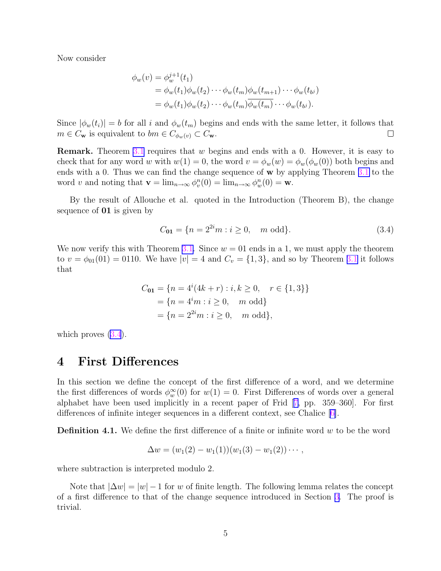<span id="page-4-0"></span>Now consider

$$
\phi_w(v) = \phi_w^{j+1}(t_1)
$$
  
=  $\phi_w(t_1)\phi_w(t_2)\cdots\phi_w(t_m)\phi_w(t_{m+1})\cdots\phi_w(t_b)$   
=  $\phi_w(t_1)\phi_w(t_2)\cdots\phi_w(t_m)\overline{\phi_w(t_m)}\cdots\phi_w(t_b).$ 

Since  $|\phi_w(t_i)| = b$  for all i and  $\phi_w(t_m)$  begins and ends with the same letter, it follows that  $m \in C_{\mathbf{w}}$  is equivalent to  $bm \in C_{\phi_w(v)} \subset C_{\mathbf{w}}$ .  $\Box$ 

**Remark.** Theorem [3.1](#page-3-0) requires that  $w$  begins and ends with a 0. However, it is easy to check that for any word w with  $w(1) = 0$ , the word  $v = \phi_w(w) = \phi_w(\phi_w(0))$  both begins and ends with a 0. Thus we can find the change sequence of **w** by applying Theorem [3.1](#page-3-0) to the word v and noting that  $\mathbf{v} = \lim_{n \to \infty} \phi_v^n(0) = \lim_{n \to \infty} \phi_w^n(0) = \mathbf{w}$ .

By the result of Allouche et al. quoted in the Introduction (Theorem B), the change sequence of 01 is given by

$$
C_{01} = \{ n = 2^{2i}m : i \ge 0, \quad m \text{ odd} \}. \tag{3.4}
$$

We now verify this with Theorem [3.1.](#page-3-0) Since  $w = 01$  ends in a 1, we must apply the theorem to  $v = \phi_{01}(01) = 0110$ . We have  $|v| = 4$  and  $C_v = \{1, 3\}$ , and so by Theorem [3.1](#page-3-0) it follows that

$$
C_{01} = \{n = 4^{i}(4k + r) : i, k \ge 0, r \in \{1, 3\}\}\
$$

$$
= \{n = 4^{i}m : i \ge 0, m \text{ odd}\}\
$$

$$
= \{n = 2^{2i}m : i \ge 0, m \text{ odd}\},
$$

which proves  $(3.4)$ .

### 4 First Differences

In this section we define the concept of the first difference of a word, and we determine the first differences of words  $\phi_w^{\infty}(0)$  for  $w(1) = 0$ . First Differences of words over a general alphabet have been used implicitly in a recent paper of Frid [[7,](#page-10-0) pp. 359–360]. For first differences of infinite integer sequences in a different context, see Chalice [[6\]](#page-10-0).

**Definition 4.1.** We define the first difference of a finite or infinite word  $w$  to be the word

$$
\Delta w = (w_1(2) - w_1(1))(w_1(3) - w_1(2)) \cdots,
$$

where subtraction is interpreted modulo 2.

Note that  $|\Delta w| = |w| - 1$  for w of finite length. The following lemma relates the concept of a first difference to that of the change sequence introduced in Section [3.](#page-3-0) The proof is trivial.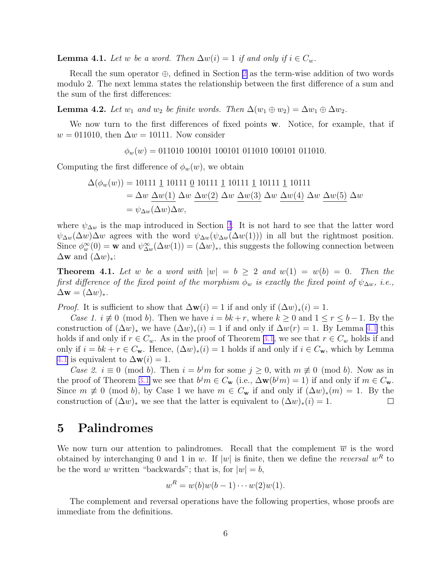<span id="page-5-0"></span>**Lemma 4.1.** Let w be a word. Then  $\Delta w(i) = 1$  if and only if  $i \in C_w$ .

Recall the sum operator  $\oplus$ , defined in Section [2](#page-1-0) as the term-wise addition of two words modulo 2. The next lemma states the relationship between the first difference of a sum and the sum of the first differences:

**Lemma 4.2.** Let  $w_1$  and  $w_2$  be finite words. Then  $\Delta(w_1 \oplus w_2) = \Delta w_1 \oplus \Delta w_2$ .

We now turn to the first differences of fixed points w. Notice, for example, that if  $w = 011010$ , then  $\Delta w = 10111$ . Now consider

 $\phi_w(w) = 011010 \cdot 100101 \cdot 100101 \cdot 011010 \cdot 100101 \cdot 011010.$ 

Computing the first difference of  $\phi_w(w)$ , we obtain

$$
\Delta(\phi_w(w)) = 10111 \underline{1} 10111 \underline{0} 10111 \underline{1} 10111 \underline{1} 10111 \underline{1} 10111
$$
  
=  $\Delta w \, \Delta w(1) \, \Delta w \, \Delta w(2) \, \Delta w \, \Delta w(3) \, \Delta w \, \Delta w(4) \, \Delta w \, \Delta w(5) \, \Delta w$   
=  $\psi_{\Delta w}(\Delta w) \Delta w$ ,

where  $\psi_{\Delta w}$  is the map introduced in Section [2](#page-1-0). It is not hard to see that the latter word  $\psi_{\Delta w}(\Delta w) \Delta w$  agrees with the word  $\psi_{\Delta w}(\psi_{\Delta w}(\Delta w(1)))$  in all but the rightmost position. Since  $\phi_w^{\infty}(0) = \mathbf{w}$  and  $\psi_{\Delta w}^{\infty}(\Delta w(1)) = (\Delta w)_*,$  this suggests the following connection between  $\Delta$ w and  $(\Delta w)_*$ :

**Theorem 4.1.** Let w be a word with  $|w| = b \geq 2$  and  $w(1) = w(b) = 0$ . Then the first difference of the fixed point of the morphism  $\phi_w$  is exactly the fixed point of  $\psi_{\Delta w}$ , i.e.,  $\Delta \mathbf{w} = (\Delta w)_*.$ 

*Proof.* It is sufficient to show that  $\Delta \mathbf{w}(i) = 1$  if and only if  $(\Delta w)_*(i) = 1$ .

Case 1.  $i \neq 0 \pmod{b}$ . Then we have  $i = bk + r$ , where  $k \geq 0$  and  $1 \leq r \leq b-1$ . By the construction of  $(\Delta w)_*$  we have  $(\Delta w)_*(i) = 1$  if and only if  $\Delta w(r) = 1$ . By Lemma [4.1](#page-4-0) this holds if and only if  $r \in C_w$ . As in the proof of Theorem [3.1](#page-3-0), we see that  $r \in C_w$  holds if and only if  $i = bk + r \in C_{\mathbf{w}}$ . Hence,  $(\Delta w)_*(i) = 1$  holds if and only if  $i \in C_{\mathbf{w}}$ , which by Lemma [4.1](#page-4-0) is equivalent to  $\Delta \mathbf{w}(i) = 1$ .

Case 2.  $i \equiv 0 \pmod{b}$ . Then  $i = b^j m$  for some  $j \ge 0$ , with  $m \not\equiv 0 \pmod{b}$ . Now as in the proof of Theorem [3.1](#page-3-0) we see that  $b^j m \in C_{\bf w}$  (i.e.,  $\Delta {\bf w}(b^j m) = 1$ ) if and only if  $m \in C_{\bf w}$ . Since  $m \neq 0 \pmod{b}$ , by Case 1 we have  $m \in C_{\bf w}$  if and only if  $(\Delta w)_*(m) = 1$ . By the construction of  $(\Delta w)_*$  we see that the latter is equivalent to  $(\Delta w)_*(i) = 1$ .  $\Box$ 

### 5 Palindromes

We now turn our attention to palindromes. Recall that the complement  $\overline{w}$  is the word obtained by interchanging 0 and 1 in w. If  $|w|$  is finite, then we define the *reversal*  $w<sup>R</sup>$  to be the word w written "backwards"; that is, for  $|w|=b$ ,

$$
w^R = w(b)w(b-1)\cdots w(2)w(1).
$$

The complement and reversal operations have the following properties, whose proofs are immediate from the definitions.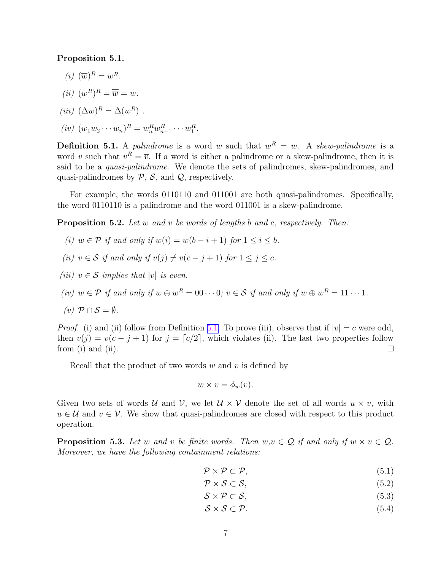#### <span id="page-6-0"></span>Proposition 5.1.

- $(i)$   $(\overline{w})^R = \overline{w^R}.$
- (*ii*)  $(w^R)^R = \overline{\overline{w}} = w$ .
- (iii)  $(\Delta w)^R = \Delta (w^R)$ .
- $(iv) (w_1w_2\cdots w_n)^R = w_n^Rw_{n-1}^R\cdots w_1^R.$

**Definition 5.1.** A *palindrome* is a word w such that  $w^R = w$ . A *skew-palindrome* is a word v such that  $v^R = \overline{v}$ . If a word is either a palindrome or a skew-palindrome, then it is said to be a *quasi-palindrome*. We denote the sets of palindromes, skew-palindromes, and quasi-palindromes by  $P$ ,  $S$ , and  $Q$ , respectively.

For example, the words 0110110 and 011001 are both quasi-palindromes. Specifically, the word 0110110 is a palindrome and the word 011001 is a skew-palindrome.

**Proposition 5.2.** Let w and v be words of lengths b and c, respectively. Then:

- (i)  $w \in \mathcal{P}$  if and only if  $w(i) = w(b i + 1)$  for  $1 \leq i \leq b$ .
- (ii)  $v \in S$  if and only if  $v(j) \neq v(c j + 1)$  for  $1 \leq j \leq c$ .
- (iii)  $v \in \mathcal{S}$  implies that |v| is even.
- (iv)  $w \in \mathcal{P}$  if and only if  $w \oplus w^R = 0 \cdots 0$ ;  $v \in \mathcal{S}$  if and only if  $w \oplus w^R = 11 \cdots 1$ .

$$
(v) \mathcal{P} \cap \mathcal{S} = \emptyset.
$$

*Proof.* (i) and (ii) follow from Definition 5.1. To prove (iii), observe that if  $|v| = c$  were odd, then  $v(j) = v(c - j + 1)$  for  $j = \lfloor c/2 \rfloor$ , which violates (ii). The last two properties follow from (i) and (ii).  $\Box$ 

Recall that the product of two words  $w$  and  $v$  is defined by

$$
w \times v = \phi_w(v).
$$

Given two sets of words U and V, we let  $U \times V$  denote the set of all words  $u \times v$ , with  $u \in \mathcal{U}$  and  $v \in \mathcal{V}$ . We show that quasi-palindromes are closed with respect to this product operation.

**Proposition 5.3.** Let w and v be finite words. Then  $w, v \in \mathcal{Q}$  if and only if  $w \times v \in \mathcal{Q}$ . Moreover, we have the following containment relations:

$$
\mathcal{P} \times \mathcal{P} \subset \mathcal{P},\tag{5.1}
$$

$$
\mathcal{P} \times \mathcal{S} \subset \mathcal{S},\tag{5.2}
$$

- $S \times \mathcal{P} \subset \mathcal{S},$  (5.3)
- $S \times S \subset \mathcal{P}.$  (5.4)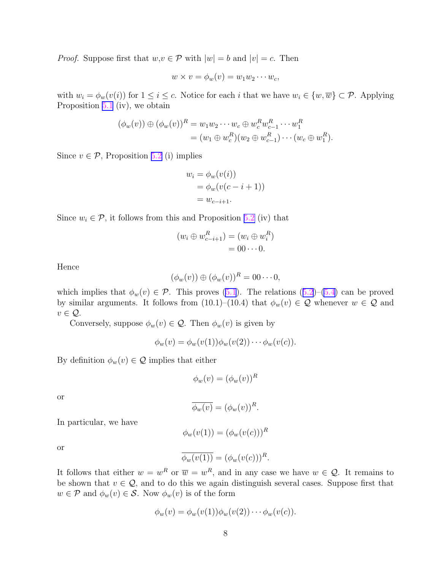*Proof.* Suppose first that  $w, v \in \mathcal{P}$  with  $|w| = b$  and  $|v| = c$ . Then

$$
w \times v = \phi_w(v) = w_1 w_2 \cdots w_c,
$$

with  $w_i = \phi_w(v(i))$  for  $1 \leq i \leq c$ . Notice for each i that we have  $w_i \in \{w, \overline{w}\} \subset \mathcal{P}$ . Applying Proposition [5.1](#page-5-0) (iv), we obtain

$$
(\phi_w(v)) \oplus (\phi_w(v))^R = w_1w_2 \cdots w_c \oplus w_c^R w_{c-1}^R \cdots w_1^R
$$
  
=  $(w_1 \oplus w_c^R)(w_2 \oplus w_{c-1}^R) \cdots (w_c \oplus w_1^R).$ 

Since  $v \in \mathcal{P}$ , Proposition [5.2](#page-6-0) (i) implies

$$
w_i = \phi_w(v(i))
$$
  
=  $\phi_w(v(c-i+1))$   
=  $w_{c-i+1}$ .

Since  $w_i \in \mathcal{P}$ , it follows from this and Proposition [5.2](#page-6-0) (iv) that

$$
(w_i \oplus w_{c-i+1}^R) = (w_i \oplus w_i^R)
$$
  
= 00 ··· 0.

Hence

$$
(\phi_w(v)) \oplus (\phi_w(v))^R = 00 \cdots 0,
$$

which implies that  $\phi_w(v) \in \mathcal{P}$ . This proves [\(5.1](#page-6-0)). The relations ([5.2](#page-6-0))–[\(5.4](#page-6-0)) can be proved by similar arguments. It follows from (10.1)–(10.4) that  $\phi_w(v) \in \mathcal{Q}$  whenever  $w \in \mathcal{Q}$  and  $v \in \mathcal{Q}$ .

Conversely, suppose  $\phi_w(v) \in \mathcal{Q}$ . Then  $\phi_w(v)$  is given by

$$
\phi_w(v) = \phi_w(v(1))\phi_w(v(2))\cdots\phi_w(v(c)).
$$

By definition  $\phi_w(v) \in \mathcal{Q}$  implies that either

$$
\phi_w(v) = (\phi_w(v))^R
$$

or

$$
\overline{\phi_w(v)} = (\phi_w(v))^R.
$$

In particular, we have

$$
\phi_w(v(1)) = (\phi_w(v(c)))^R
$$

or

$$
\overline{\phi_w(v(1))} = (\phi_w(v(c)))^R.
$$

It follows that either  $w = w^R$  or  $\overline{w} = w^R$ , and in any case we have  $w \in \mathcal{Q}$ . It remains to be shown that  $v \in \mathcal{Q}$ , and to do this we again distinguish several cases. Suppose first that  $w \in \mathcal{P}$  and  $\phi_w(v) \in \mathcal{S}$ . Now  $\phi_w(v)$  is of the form

$$
\phi_w(v) = \phi_w(v(1))\phi_w(v(2))\cdots\phi_w(v(c)).
$$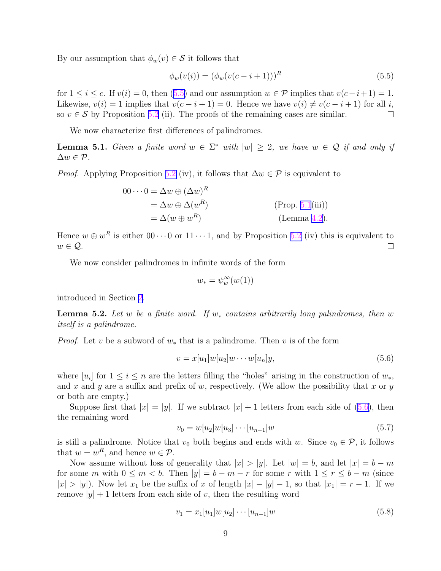<span id="page-8-0"></span>By our assumption that  $\phi_w(v) \in \mathcal{S}$  it follows that

$$
\overline{\phi_w(v(i))} = (\phi_w(v(c-i+1)))^R
$$
\n(5.5)

for  $1 \leq i \leq c$ . If  $v(i) = 0$ , then  $(5.5)$  and our assumption  $w \in \mathcal{P}$  implies that  $v(c-i+1) = 1$ . Likewise,  $v(i) = 1$  implies that  $v(c - i + 1) = 0$ . Hence we have  $v(i) \neq v(c - i + 1)$  for all i, so  $v \in \mathcal{S}$  by Proposition [5.2](#page-6-0) (ii). The proofs of the remaining cases are similar.  $\Box$ 

We now characterize first differences of palindromes.

**Lemma 5.1.** Given a finite word  $w \in \Sigma^*$  with  $|w| \geq 2$ , we have  $w \in \mathcal{Q}$  if and only if  $\Delta w \in \mathcal{P}$ .

*Proof.* Applying Proposition [5.2](#page-6-0) (iv), it follows that  $\Delta w \in \mathcal{P}$  is equivalent to

$$
00\cdots 0 = \Delta w \oplus (\Delta w)^R
$$
  
=  $\Delta w \oplus \Delta (w^R)$  (Prop. 5.1(iii))  
=  $\Delta (w \oplus w^R)$  (Lemma 4.2).

Hence  $w \oplus w^R$  is either  $00 \cdots 0$  or  $11 \cdots 1$ , and by Proposition [5.2](#page-6-0) (iv) this is equivalent to  $w \in \mathcal{Q}$ .  $\Box$ 

We now consider palindromes in infinite words of the form

$$
w_* = \psi_w^{\infty}(w(1))
$$

introduced in Section [2](#page-1-0).

**Lemma 5.2.** Let w be a finite word. If  $w_*$  contains arbitrarily long palindromes, then w itself is a palindrome.

*Proof.* Let v be a subword of  $w_*$  that is a palindrome. Then v is of the form

$$
v = x[u_1]w[u_2]w\cdots w[u_n]y,
$$
\n
$$
(5.6)
$$

where  $[u_i]$  for  $1 \leq i \leq n$  are the letters filling the "holes" arising in the construction of  $w_*,$ and x and y are a suffix and prefix of w, respectively. (We allow the possibility that x or  $y$ or both are empty.)

Suppose first that  $|x| = |y|$ . If we subtract  $|x| + 1$  letters from each side of (5.6), then the remaining word

$$
v_0 = w[u_2]w[u_3] \cdots [u_{n-1}]w \tag{5.7}
$$

is still a palindrome. Notice that  $v_0$  both begins and ends with w. Since  $v_0 \in \mathcal{P}$ , it follows that  $w = w^R$ , and hence  $w \in \mathcal{P}$ .

Now assume without loss of generality that  $|x| > |y|$ . Let  $|w| = b$ , and let  $|x| = b - m$ for some m with  $0 \le m < b$ . Then  $|y| = b - m - r$  for some r with  $1 \le r \le b - m$  (since  $|x| > |y|$ ). Now let  $x_1$  be the suffix of x of length  $|x| - |y| - 1$ , so that  $|x_1| = r - 1$ . If we remove  $|y| + 1$  letters from each side of v, then the resulting word

$$
v_1 = x_1[u_1]w[u_2] \cdots [u_{n-1}]w \tag{5.8}
$$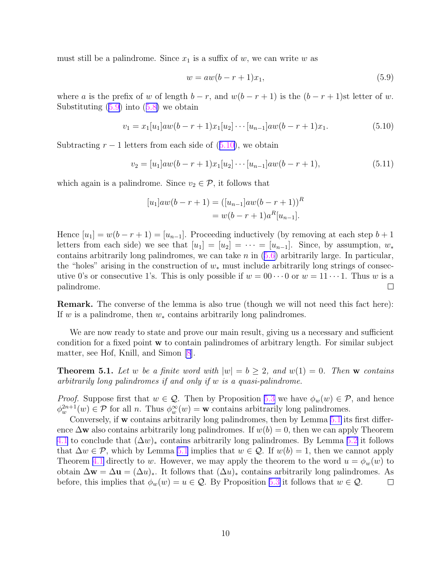<span id="page-9-0"></span>must still be a palindrome. Since  $x_1$  is a suffix of w, we can write w as

$$
w = aw(b - r + 1)x_1,
$$
\n(5.9)

where a is the prefix of w of length  $b - r$ , and  $w(b - r + 1)$  is the  $(b - r + 1)$ st letter of w. Substituting  $(5.9)$  into  $(5.8)$  $(5.8)$  we obtain

$$
v_1 = x_1[u_1]aw(b - r + 1)x_1[u_2] \cdots [u_{n-1}]aw(b - r + 1)x_1.
$$
\n(5.10)

Subtracting  $r - 1$  letters from each side of  $(5.10)$ , we obtain

$$
v_2 = [u_1]aw(b - r + 1)x_1[u_2] \cdots [u_{n-1}]aw(b - r + 1), \tag{5.11}
$$

which again is a palindrome. Since  $v_2 \in \mathcal{P}$ , it follows that

$$
[u_1]aw(b - r + 1) = ([u_{n-1}]aw(b - r + 1))^R
$$
  
=  $w(b - r + 1)a^R[u_{n-1}].$ 

Hence  $[u_1] = w(b - r + 1) = [u_{n-1}]$ . Proceeding inductively (by removing at each step  $b + 1$ ) letters from each side) we see that  $[u_1] = [u_2] = \cdots = [u_{n-1}]$ . Since, by assumption,  $w_*$ contains arbitrarily long palindromes, we can take  $n$  in  $(5.6)$  $(5.6)$  arbitrarily large. In particular, the "holes" arising in the construction of  $w_*$  must include arbitrarily long strings of consecutive 0's or consecutive 1's. This is only possible if  $w = 00 \cdots 0$  or  $w = 11 \cdots 1$ . Thus w is a palindrome.  $\Box$ 

**Remark.** The converse of the lemma is also true (though we will not need this fact here): If w is a palindrome, then  $w_*$  contains arbitrarily long palindromes.

We are now ready to state and prove our main result, giving us a necessary and sufficient condition for a fixed point w to contain palindromes of arbitrary length. For similar subject matter, see Hof, Knill, and Simon [\[8](#page-10-0)].

**Theorem 5.1.** Let w be a finite word with  $|w| = b \geq 2$ , and  $w(1) = 0$ . Then w contains arbitrarily long palindromes if and only if w is a quasi-palindrome.

*Proof.* Suppose first that  $w \in \mathcal{Q}$ . Then by Proposition [5.3](#page-6-0) we have  $\phi_w(w) \in \mathcal{P}$ , and hence  $\phi_w^{2n+1}(w) \in \mathcal{P}$  for all *n*. Thus  $\phi_w^{\infty}(w) = \mathbf{w}$  contains arbitrarily long palindromes.

Conversely, if w contains arbitrarily long palindromes, then by Lemma [5.1](#page-8-0) its first difference  $\Delta$ w also contains arbitrarily long palindromes. If  $w(b) = 0$ , then we can apply Theorem [4.1](#page-5-0) to conclude that  $(\Delta w)_*$  contains arbitrarily long palindromes. By Lemma [5.2](#page-8-0) it follows that  $\Delta w \in \mathcal{P}$ , which by Lemma [5.1](#page-8-0) implies that  $w \in \mathcal{Q}$ . If  $w(b) = 1$ , then we cannot apply Theorem [4.1](#page-5-0) directly to w. However, we may apply the theorem to the word  $u = \phi_w(w)$  to obtain  $\Delta \mathbf{w} = \Delta \mathbf{u} = (\Delta u)_*$ . It follows that  $(\Delta u)_*$  contains arbitrarily long palindromes. As before, this implies that  $\phi_w(w) = u \in \mathcal{Q}$ . By Proposition [5.3](#page-6-0) it follows that  $w \in \mathcal{Q}$ .  $\Box$